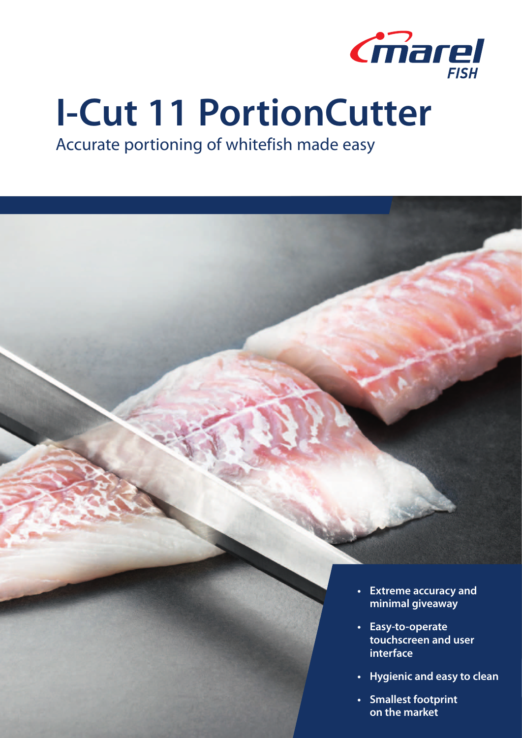

# **I-Cut 11 PortionCutter**

Accurate portioning of whitefish made easy

- **• Extreme accuracy and minimal giveaway**
- **• Easy-to-operate touchscreen and user interface**
- **• Hygienic and easy to clean**
- **• Smallest footprint on the market**